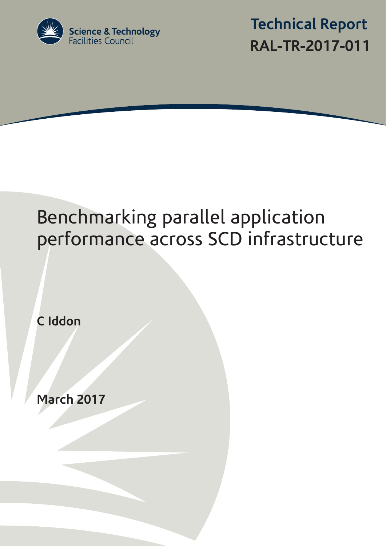

 **Technical Report RAL-TR-2017-011**

# Benchmarking parallel application performance across SCD infrastructure

**C Iddon**

**March 2017**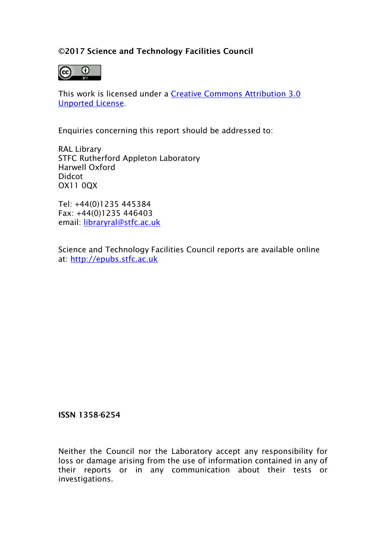## ©2017 Science and Technology Facilities Council



This work is licensed under a [Creative Commons Attribution 3.0](http://creativecommons.org/licenses/by/3.0/)  [Unported License.](http://creativecommons.org/licenses/by/3.0/)

Enquiries concerning this report should be addressed to:

RAL Library STFC Rutherford Appleton Laboratory Harwell Oxford Didcot OX11 0QX

Tel: +44(0)1235 445384 Fax: +44(0)1235 446403 email: [libraryral@stfc.ac.uk](mailto:libraryral@stfc.ac.uk)

Science and Technology Facilities Council reports are available online at: [http://epubs.stfc.ac.uk](http://epubs.stfc.ac.uk/)

## ISSN 1358-6254

Neither the Council nor the Laboratory accept any responsibility for loss or damage arising from the use of information contained in any of their reports or in any communication about their tests or investigations.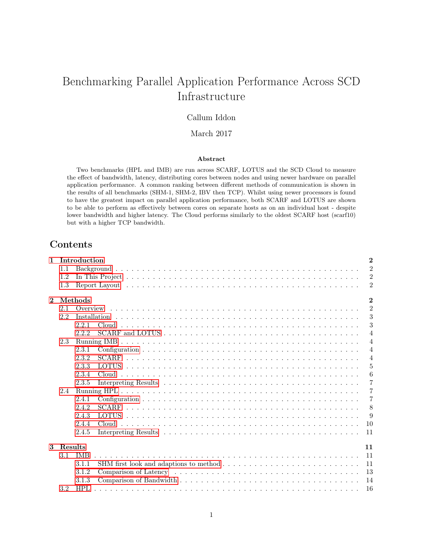# Benchmarking Parallel Application Performance Across SCD Infrastructure

## Callum Iddon

#### March 2017

#### Abstract

Two benchmarks (HPL and IMB) are run across SCARF, LOTUS and the SCD Cloud to measure the effect of bandwidth, latency, distributing cores between nodes and using newer hardware on parallel application performance. A common ranking between different methods of communication is shown in the results of all benchmarks (SHM-1, SHM-2, IBV then TCP). Whilst using newer processors is found to have the greatest impact on parallel application performance, both SCARF and LOTUS are shown to be able to perform as effectively between cores on separate hosts as on an individual host - despite lower bandwidth and higher latency. The Cloud performs similarly to the oldest SCARF host (scarf10) but with a higher TCP bandwidth.

## Contents

| $\mathbf{1}$ |         | Introduction |                                                                                                      | $\overline{2}$ |
|--------------|---------|--------------|------------------------------------------------------------------------------------------------------|----------------|
|              | 1.1     |              |                                                                                                      | $\overline{2}$ |
|              | 1.2     |              |                                                                                                      | $\overline{2}$ |
|              | 1.3     |              |                                                                                                      | $\overline{2}$ |
| $\mathbf{2}$ |         | Methods      |                                                                                                      | $\overline{2}$ |
|              | 2.1     |              |                                                                                                      | $\overline{2}$ |
|              | 2.2     |              |                                                                                                      | 3              |
|              |         | 2.2.1        |                                                                                                      | 3              |
|              |         | 2.2.2        |                                                                                                      | $\overline{4}$ |
|              | 2.3     |              |                                                                                                      | $\overline{4}$ |
|              |         | 2.3.1        |                                                                                                      | $\overline{4}$ |
|              |         | 2.3.2        |                                                                                                      | $\overline{4}$ |
|              |         | 2.3.3        |                                                                                                      | $\overline{5}$ |
|              |         | 2.3.4        |                                                                                                      | 6              |
|              |         | 2.3.5        |                                                                                                      | $\overline{7}$ |
|              | 2.4     |              |                                                                                                      | $\overline{7}$ |
|              |         | 2.4.1        |                                                                                                      | $\overline{7}$ |
|              |         | 2.4.2        |                                                                                                      | 8              |
|              |         | 2.4.3        |                                                                                                      | 9              |
|              |         | 2.4.4        |                                                                                                      | 10             |
|              |         | 2.4.5        |                                                                                                      | 11             |
| $\mathbf{3}$ | Results |              |                                                                                                      | 11             |
|              | 3.1     | <b>IMB</b>   |                                                                                                      | 11             |
|              |         | 3.1.1        |                                                                                                      | 11             |
|              |         | 3.1.2        |                                                                                                      | 13             |
|              |         | 3.1.3        |                                                                                                      | 14             |
|              | 3.2     | HPL          | a dia kaominina mpikambana amin'ny fivondronan-kaominin'i Lancence de Lancence de la Germania Grande | 16             |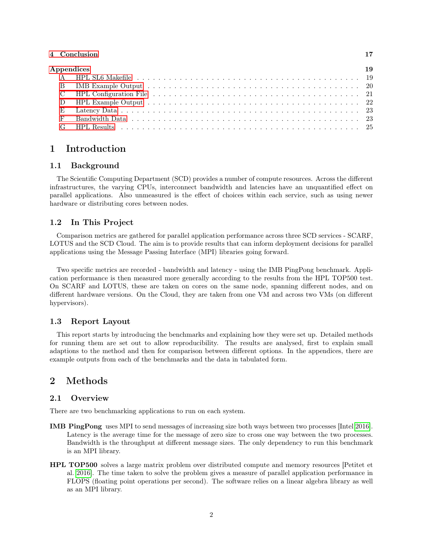#### [4 Conclusion](#page-18-0) 17

| Appendices | 19 |
|------------|----|
|            |    |
|            |    |
|            |    |
|            |    |
|            |    |
|            |    |
|            |    |

## <span id="page-3-0"></span>1 Introduction

#### <span id="page-3-1"></span>1.1 Background

The Scientific Computing Department (SCD) provides a number of compute resources. Across the different infrastructures, the varying CPUs, interconnect bandwidth and latencies have an unquantified effect on parallel applications. Also unmeasured is the effect of choices within each service, such as using newer hardware or distributing cores between nodes.

#### <span id="page-3-2"></span>1.2 In This Project

Comparison metrics are gathered for parallel application performance across three SCD services - SCARF, LOTUS and the SCD Cloud. The aim is to provide results that can inform deployment decisions for parallel applications using the Message Passing Interface (MPI) libraries going forward.

Two specific metrics are recorded - bandwidth and latency - using the IMB PingPong benchmark. Application performance is then measured more generally according to the results from the HPL TOP500 test. On SCARF and LOTUS, these are taken on cores on the same node, spanning different nodes, and on different hardware versions. On the Cloud, they are taken from one VM and across two VMs (on different hypervisors).

#### <span id="page-3-3"></span>1.3 Report Layout

This report starts by introducing the benchmarks and explaining how they were set up. Detailed methods for running them are set out to allow reproducibility. The results are analysed, first to explain small adaptions to the method and then for comparison between different options. In the appendices, there are example outputs from each of the benchmarks and the data in tabulated form.

## <span id="page-3-4"></span>2 Methods

#### <span id="page-3-5"></span>2.1 Overview

There are two benchmarking applications to run on each system.

- IMB PingPong uses MPI to send messages of increasing size both ways between two processes [Intel [2016\]](#page-19-0). Latency is the average time for the message of zero size to cross one way between the two processes. Bandwidth is the throughput at different message sizes. The only dependency to run this benchmark is an MPI library.
- HPL TOP500 solves a large matrix problem over distributed compute and memory resources [Petitet et al. [2016\]](#page-19-1). The time taken to solve the problem gives a measure of parallel application performance in FLOPS (floating point operations per second). The software relies on a linear algebra library as well as an MPI library.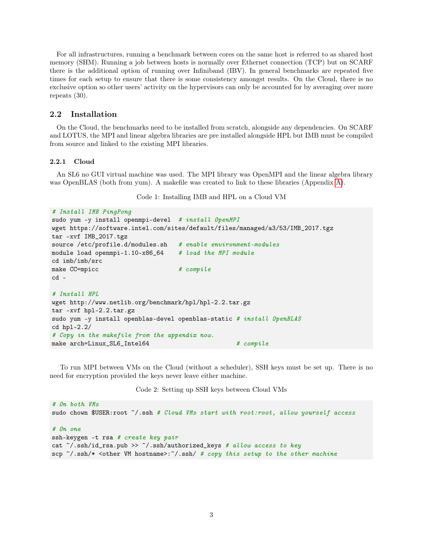For all infrastructures, running a benchmark between cores on the same host is referred to as shared host memory (SHM). Running a job between hosts is normally over Ethernet connection (TCP) but on SCARF there is the additional option of running over Infiniband (IBV). In general benchmarks are repeated five times for each setup to ensure that there is some consistency amongst results. On the Cloud, there is no exclusive option so other users' activity on the hypervisors can only be accounted for by averaging over more repeats (30).

#### <span id="page-4-0"></span>2.2 Installation

On the Cloud, the benchmarks need to be installed from scratch, alongside any dependencies. On SCARF and LOTUS, the MPI and linear algebra libraries are pre installed alongside HPL but IMB must be compiled from source and linked to the existing MPI libraries.

#### <span id="page-4-1"></span>2.2.1 Cloud

<span id="page-4-2"></span>An SL6 no GUI virtual machine was used. The MPI library was OpenMPI and the linear algebra library was OpenBLAS (both from yum). A makefile was created to link to these libraries (Appendix [A\)](#page-20-1).

Code 1: Installing IMB and HPL on a Cloud VM

```
# Install IMB PingPong
sudo yum -y install openmpi-devel # install OpenMPI
wget https://software.intel.com/sites/default/files/managed/a3/53/IMB_2017.tgz
tar -xvf IMB_2017.tgz
source /etc/profile.d/modules.sh  # enable environment-modules
module load openmpi-1.10-x86_64 # load the MPI module
cd imb/imb/src
make CC=mpicc # compile
cd -# Install HPL
wget http://www.netlib.org/benchmark/hpl/hpl-2.2.tar.gz
tar -xvf hpl-2.2.tar.gz
sudo yum -y install openblas-devel openblas-static # install OpenBLAS
cd hpl-2.2/
# Copy in the makefile from the appendix now.
make arch=Linux_SL6_Intel64 # compile
```
To run MPI between VMs on the Cloud (without a scheduler), SSH keys must be set up. There is no need for encryption provided the keys never leave either machine.

Code 2: Setting up SSH keys between Cloud VMs

```
# On both VMs
sudo chown $USER:root ~/.ssh # Cloud VMs start with root:root, allow yourself access
```
#### # On one

```
ssh-keygen -t rsa # create key pair
cat \gamma.ssh/id_rsa.pub >> \gamma.ssh/authorized_keys # allow access to key
scp \tilde{\ }/.ssh/* <other VM hostname>:\tilde{\ }/.ssh/ # copy this setup to the other machine
```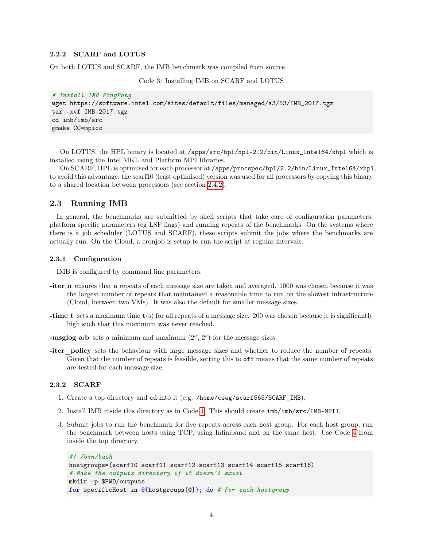#### <span id="page-5-0"></span>2.2.2 SCARF and LOTUS

On both LOTUS and SCARF, the IMB benchmark was compiled from source.

Code 3: Installing IMB on SCARF and LOTUS

```
# Install IMB PingPong
wget https://software.intel.com/sites/default/files/managed/a3/53/IMB_2017.tgz
tar -xvf IMB_2017.tgz
cd imb/imb/src
gmake CC=mpicc
```
On LOTUS, the HPL binary is located at /apps/src/hpl/hpl-2.2/bin/Linux\_Intel64/xhpl which is installed using the Intel MKL and Platform MPI libraries.

On SCARF, HPL is optimised for each processor at /apps/procspec/hpl/2.2/bin/Linux\_Intel64/xhpl, to avoid this advantage, the scarf10 (least optimised) version was used for all processors by copying this binary to a shared location between processors (see section [2.4.2\)](#page-9-0).

#### <span id="page-5-1"></span>2.3 Running IMB

In general, the benchmarks are submitted by shell scripts that take care of configuration parameters, platform specific parameters (eg LSF flags) and running repeats of the benchmarks. On the systems where there is a job scheduler (LOTUS and SCARF), these scripts submit the jobs where the benchmarks are actually run. On the Cloud, a cronjob is setup to run the script at regular intervals.

#### <span id="page-5-2"></span>2.3.1 Configuration

IMB is configured by command line parameters.

- -iter n ensures that n repeats of each message size are taken and averaged. 1000 was chosen because it was the largest number of repeats that maintained a reasonable time to run on the slowest infrastructure (Cloud, between two VMs). It was also the default for smaller message sizes.
- -time t sets a maximum time  $t(s)$  for all repeats of a message size. 200 was chosen because it is significantly high such that this maximum was never reached.

-msglog a:b sets a minimum and maximum  $(2^a, 2^b)$  for the message sizes.

-iter\_policy sets the behaviour with large message sizes and whether to reduce the number of repeats. Given that the number of repeats is feasible, setting this to off means that the same number of repeats are tested for each message size.

#### <span id="page-5-3"></span>2.3.2 SCARF

- 1. Create a top directory and cd into it (e.g. /home/cseg/scarf565/SCARF\_IMB).
- 2. Install IMB inside this directory as in Code [1.](#page-4-2) This should create imb/imb/src/IMB-MPI1.
- 3. Submit jobs to run the benchmark for five repeats across each host group. For each host group, run the benchmark between hosts using TCP, using Infiniband and on the same host. Use Code [4](#page-5-4) from inside the top directory.

```
#! /bin/bash
hostgroups=(scarf10 scarf11 scarf12 scarf13 scarf14 scarf15 scarf16)
# Make the outputs directory if it doesn't exist
mkdir -p $PWD/outputs
for specificHost in ${hostgroups[@]}; do # For each hostgroup
```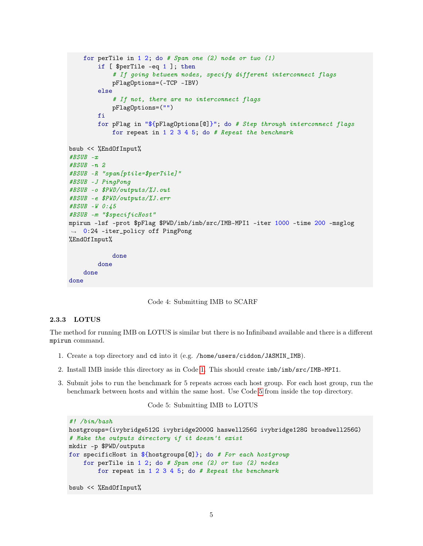```
for perTile in 1\ 2; do # Span one (2) node or two (1)
        if [ $perTile -eq 1 ]; then
            # If going between nodes, specify different interconnect flags
            pFlagOptions=(-TCP -IBV)
        else
            # If not, there are no interconnect flags
            pFlagOptions=("")
        fi
        for pFlag in "${pFlagOptions[@]}"; do # Step through interconnect flags
            for repeat in 1\ 2\ 3\ 4\ 5; do # Repeat the benchmark
bsub << %EndOfInput%
\#BSUB - x#BSUB -n 2
#BSUB -R "span[ptile=$perTile]"
#BSUB -J PingPong
#BSUB -o $PWD/outputs/%J.out
#BSUB -e $PWD/outputs/%J.err
#BSUB -W 0:45
#BSUB -m "$specificHost"
mpirun -lsf -prot $pFlag $PWD/imb/imb/src/IMB-MPI1 -iter 1000 -time 200 -msglog
,→ 0:24 -iter_policy off PingPong
%EndOfInput%
            done
        done
    done
done
```
Code 4: Submitting IMB to SCARF

#### <span id="page-6-0"></span>2.3.3 LOTUS

The method for running IMB on LOTUS is similar but there is no Infiniband available and there is a different mpirun command.

- 1. Create a top directory and cd into it (e.g. /home/users/ciddon/JASMIN\_IMB).
- 2. Install IMB inside this directory as in Code [1.](#page-4-2) This should create imb/imb/src/IMB-MPI1.
- <span id="page-6-1"></span>3. Submit jobs to run the benchmark for 5 repeats across each host group. For each host group, run the benchmark between hosts and within the same host. Use Code [5](#page-6-1) from inside the top directory.

#### Code 5: Submitting IMB to LOTUS

```
#! /bin/bash
hostgroups=(ivybridge512G ivybridge2000G haswell256G ivybridge128G broadwell256G)
# Make the outputs directory if it doesn't exist
mkdir -p $PWD/outputs
for specificHost in ${hostgroups[@]}; do # For each hostgroup
    for perTile in 1 2; do # Span one (2) or two (2) nodes
        for repeat in 1\ 2\ 3\ 4\ 5; do # Repeat the benchmark
bsub << %EndOfInput%
```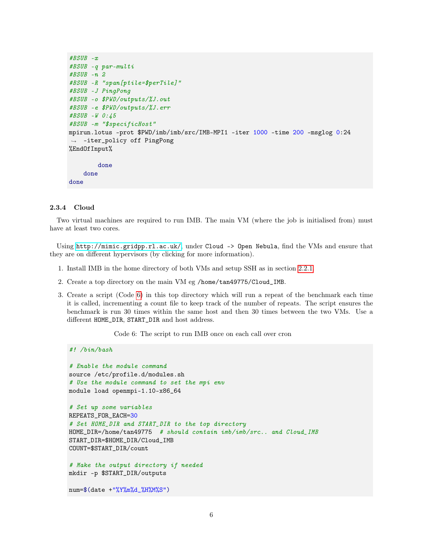```
#BSUB -x
#BSUB -q par-multi
#BSUB -n 2
#BSUB -R "span[ptile=$perTile]"
#BSUB -J PingPong
#BSUB -o $PWD/outputs/%J.out
#BSUB -e $PWD/outputs/%J.err
#BSUB -W 0:45
#BSUB -m "$specificHost"
mpirun.lotus -prot $PWD/imb/imb/src/IMB-MPI1 -iter 1000 -time 200 -msglog 0:24
,→ -iter_policy off PingPong
%EndOfInput%
        done
    done
done
```
#### <span id="page-7-0"></span>2.3.4 Cloud

#! /bin/bash

Two virtual machines are required to run IMB. The main VM (where the job is initialised from) must have at least two cores.

Using <http://mimic.gridpp.rl.ac.uk/>, under Cloud -> Open Nebula, find the VMs and ensure that they are on different hypervisors (by clicking for more information).

- 1. Install IMB in the home directory of both VMs and setup SSH as in section [2.2.1.](#page-4-1)
- 2. Create a top directory on the main VM eg /home/tan49775/Cloud\_IMB.
- 3. Create a script (Code [6\)](#page-7-1) in this top directory which will run a repeat of the benchmark each time it is called, incrementing a count file to keep track of the number of repeats. The script ensures the benchmark is run 30 times within the same host and then 30 times between the two VMs. Use a different HOME\_DIR, START\_DIR and host address.

<span id="page-7-1"></span>Code 6: The script to run IMB once on each call over cron

```
# Enable the module command
source /etc/profile.d/modules.sh
# Use the module command to set the mpi env
module load openmpi-1.10-x86_64
# Set up some variables
REPEATS_FOR_EACH=30
# Set HOME_DIR and START_DIR to the top directory
HOME_DIR=/home/tan49775 # should contain imb/imb/src.. and Cloud_IMB
START_DIR=$HOME_DIR/Cloud_IMB
COUNT=$START_DIR/count
```
# Make the output directory if needed mkdir -p \$START\_DIR/outputs

```
num=$(date +"%Y%m%d_%H%M%S")
```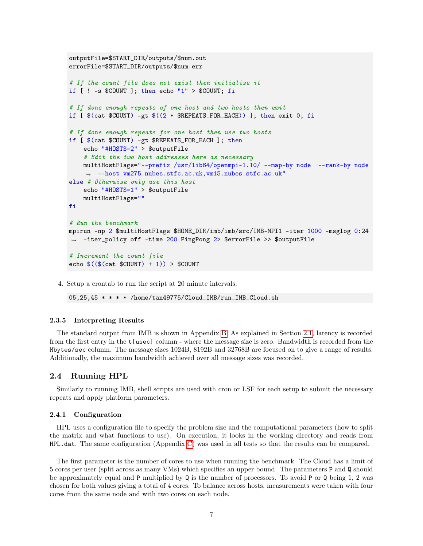```
outputFile=$START_DIR/outputs/$num.out
errorFile=$START_DIR/outputs/$num.err
# If the count file does not exist then initialise it
if [ ! -s $COUNT ]; then echo "1" > $COUNT; fi
# If done enough repeats of one host and two hosts then exit
if [$(cat $COUNT) -gt $((2 * $REPEATS_FOR_EACH)) ]; then exit 0; fi
# If done enough repeats for one host then use two hosts
if [ $(cat $COUNT) -gt $REPEATS_FOR_EACH ]; then
    echo "#HOSTS=2" > $outputFile
    # Edit the two host addresses here as necessary
    multiHostFlags="--prefix /usr/lib64/openmpi-1.10/ --map-by node --rank-by node
    ,→ --host vm275.nubes.stfc.ac.uk,vm15.nubes.stfc.ac.uk"
else # Otherwise only use this host
    echo "#HOSTS=1" > $outputFile
    multiHostFlags=""
fi
# Run the benchmark
mpirun -np 2 $multiHostFlags $HOME_DIR/imb/imb/src/IMB-MPI1 -iter 1000 -msglog 0:24
,→ -iter_policy off -time 200 PingPong 2> $errorFile >> $outputFile
# Increment the count file
echo $($(\cat $COUNT) + 1)) > $COUNT
```
4. Setup a crontab to run the script at 20 minute intervals.

 $05,25,45$  \* \* \* /home/tan49775/Cloud\_IMB/run\_IMB\_Cloud.sh

#### <span id="page-8-0"></span>2.3.5 Interpreting Results

The standard output from IMB is shown in Appendix [B.](#page-21-0) As explained in Section [2.1,](#page-3-5) latency is recorded from the first entry in the t[usec] column - where the message size is zero. Bandwidth is recorded from the Mbytes/sec column. The message sizes 1024B, 8192B and 32768B are focused on to give a range of results. Additionally, the maximum bandwidth achieved over all message sizes was recorded.

#### <span id="page-8-1"></span>2.4 Running HPL

Similarly to running IMB, shell scripts are used with cron or LSF for each setup to submit the necessary repeats and apply platform parameters.

#### <span id="page-8-2"></span>2.4.1 Configuration

HPL uses a configuration file to specify the problem size and the computational parameters (how to split the matrix and what functions to use). On execution, it looks in the working directory and reads from HPL.dat. The same configuration (Appendix [C\)](#page-22-0) was used in all tests so that the results can be compared.

The first parameter is the number of cores to use when running the benchmark. The Cloud has a limit of 5 cores per user (split across as many VMs) which specifies an upper bound. The parameters P and Q should be approximately equal and P multiplied by Q is the number of processors. To avoid P or Q being 1, 2 was chosen for both values giving a total of 4 cores. To balance across hosts, measurements were taken with four cores from the same node and with two cores on each node.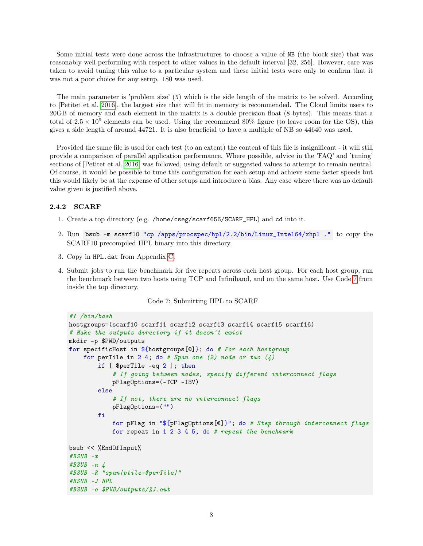Some initial tests were done across the infrastructures to choose a value of NB (the block size) that was reasonably well performing with respect to other values in the default interval [32, 256]. However, care was taken to avoid tuning this value to a particular system and these initial tests were only to confirm that it was not a poor choice for any setup. 180 was used.

The main parameter is 'problem size' (N) which is the side length of the matrix to be solved. According to [Petitet et al. [2016\]](#page-19-1), the largest size that will fit in memory is recommended. The Cloud limits users to 20GB of memory and each element in the matrix is a double precision float (8 bytes). This means that a total of  $2.5 \times 10^9$  elements can be used. Using the recommend 80% figure (to leave room for the OS), this gives a side length of around 44721. It is also beneficial to have a multiple of NB so 44640 was used.

Provided the same file is used for each test (to an extent) the content of this file is insignificant - it will still provide a comparison of parallel application performance. Where possible, advice in the 'FAQ' and 'tuning' sections of [Petitet et al. [2016\]](#page-19-1) was followed, using default or suggested values to attempt to remain neutral. Of course, it would be possible to tune this configuration for each setup and achieve some faster speeds but this would likely be at the expense of other setups and introduce a bias. Any case where there was no default value given is justified above.

#### <span id="page-9-0"></span>2.4.2 SCARF

- 1. Create a top directory (e.g. /home/cseg/scarf656/SCARF\_HPL) and cd into it.
- 2. Run bsub -m scarf10 "cp /apps/procspec/hpl/2.2/bin/Linux\_Intel64/xhpl ." to copy the SCARF10 precompiled HPL binary into this directory.
- 3. Copy in HPL.dat from Appendix [C.](#page-22-0)
- <span id="page-9-1"></span>4. Submit jobs to run the benchmark for five repeats across each host group. For each host group, run the benchmark between two hosts using TCP and Infiniband, and on the same host. Use Code [7](#page-9-1) from inside the top directory.

Code 7: Submitting HPL to SCARF

```
#! /bin/bash
hostgroups=(scarf10 scarf11 scarf12 scarf13 scarf14 scarf15 scarf16)
# Make the outputs directory if it doesn't exist
mkdir -p $PWD/outputs
for specificHost in ${hostgroups[@]}; do # For each hostgroup
    for perTile in 2 4; do # Span one (2) node or two (4)if [ $perTile -eq 2 ]; then
            # If going between nodes, specify different interconnect flags
            pFlagOptions=(-TCP -IBV)
        else
            # If not, there are no interconnect flags
            pFlagOptions=("")
        fi
            for pFlag in "${pFlagOptions[@]}"; do # Step through interconnect flags
            for repeat in 1\ 2\ 3\ 4\ 5; do # repeat the benchmark
bsub << %EndOfInput%
#BSUB -x
\#BSUB - n \quad 4#BSUB -R "span[ptile=$perTile]"
#BSUB -J HPL
#BSUB -o $PWD/outputs/%J.out
```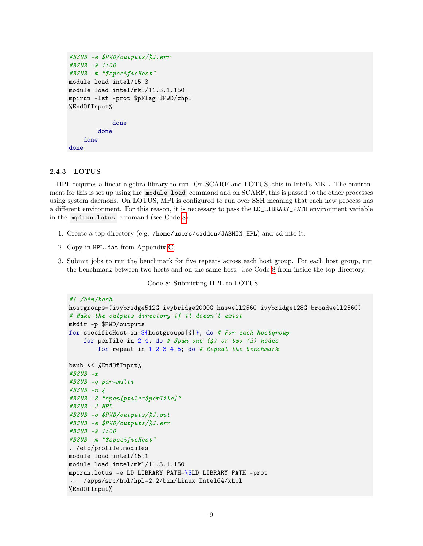```
#BSUB -e $PWD/outputs/%J.err
#BSUB -W 1:00
#BSUB -m "$specificHost"
module load intel/15.3
module load intel/mkl/11.3.1.150
mpirun -lsf -prot $pFlag $PWD/xhpl
%EndOfInput%
            done
        done
    done
done
```
#### <span id="page-10-0"></span>2.4.3 LOTUS

HPL requires a linear algebra library to run. On SCARF and LOTUS, this in Intel's MKL. The environment for this is set up using the module load command and on SCARF, this is passed to the other processes using system daemons. On LOTUS, MPI is configured to run over SSH meaning that each new process has a different environment. For this reason, it is necessary to pass the LD\_LIBRARY\_PATH environment variable in the mpirun.lotus command (see Code [8\)](#page-10-1).

- 1. Create a top directory (e.g. /home/users/ciddon/JASMIN\_HPL) and cd into it.
- 2. Copy in HPL.dat from Appendix [C.](#page-22-0)
- <span id="page-10-1"></span>3. Submit jobs to run the benchmark for five repeats across each host group. For each host group, run the benchmark between two hosts and on the same host. Use Code [8](#page-10-1) from inside the top directory.

Code 8: Submitting HPL to LOTUS

```
#! /bin/bash
hostgroups=(ivybridge512G ivybridge2000G haswell256G ivybridge128G broadwell256G)
# Make the outputs directory if it doesn't exist
mkdir -p $PWD/outputs
for specificHost in ${hostgroups[@]}; do # For each hostgroup
    for perTile in 2\,4; do # Span one (4) or two (2) nodes
        for repeat in 1\ 2\ 3\ 4\ 5; do # Repeat the benchmark
bsub << %EndOfInput%
#BSUB -x
#BSUB -q par-multi
#BSUB -n 4
#BSUB -R "span[ptile=$perTile]"
#BSUB -J HPL
#BSUB -o $PWD/outputs/%J.out
#BSUB -e $PWD/outputs/%J.err
#BSUB -W 1:00
#BSUB -m "$specificHost"
. /etc/profile.modules
module load intel/15.1
module load intel/mkl/11.3.1.150
mpirun.lotus -e LD_LIBRARY_PATH=\$LD_LIBRARY_PATH -prot
,→ /apps/src/hpl/hpl-2.2/bin/Linux_Intel64/xhpl
%EndOfInput%
```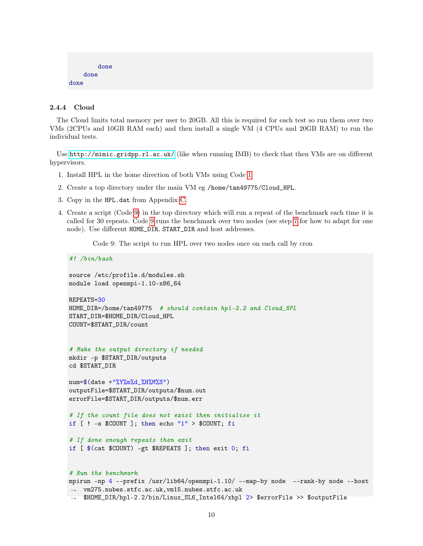```
done
    done
done
```
#### <span id="page-11-0"></span>2.4.4 Cloud

The Cloud limits total memory per user to 20GB. All this is required for each test so run them over two VMs (2CPUs and 10GB RAM each) and then install a single VM (4 CPUs and 20GB RAM) to run the individual tests.

Use <http://mimic.gridpp.rl.ac.uk/> (like when running IMB) to check that then VMs are on different hypervisors.

- <span id="page-11-2"></span>1. Install HPL in the home direction of both VMs using Code [1](#page-4-2)
- 2. Create a top directory under the main VM eg /home/tan49775/Cloud\_HPL.
- 3. Copy in the HPL.dat from Appendix [C.](#page-22-0)
- <span id="page-11-1"></span>4. Create a script (Code [9\)](#page-11-1) in the top directory which will run a repeat of the benchmark each time it is called for 30 repeats. Code [9](#page-11-1) runs the benchmark over two nodes (see step [7](#page-12-4) for how to adapt for one node). Use different HOME\_DIR, START\_DIR and host addresses.

Code 9: The script to run HPL over two nodes once on each call by cron

```
#! /bin/bash
source /etc/profile.d/modules.sh
module load openmpi-1.10-x86_64
REPEATS=30
HOME_DIR=/home/tan49775 # should contain hpl-2.2 and Cloud_HPL
START_DIR=$HOME_DIR/Cloud_HPL
COUNT=$START_DIR/count
# Make the output directory if needed
mkdir -p $START_DIR/outputs
cd $START_DIR
num=\$(date +"\%Y\%m\%d _\#H\%M\%S")outputFile=$START_DIR/outputs/$num.out
errorFile=$START_DIR/outputs/$num.err
# If the count file does not exist then initialise it
if [ ! -s $COUNT ]; then echo "1" > $COUNT; fi
# If done enough repeats then exit
if [ $(cat $COUNT) -gt $REPEATS ]; then exit 0; fi
# Run the benchmark
mpirun -np 4 --prefix /usr/lib64/openmpi-1.10/ --map-by node --rank-by node --host
 \rightarrow vm275.nubes.stfc.ac.uk, vm15.nubes.stfc.ac.uk
```
→ \$HOME\_DIR/hpl-2.2/bin/Linux\_SL6\_Intel64/xhpl 2> \$errorFile >> \$outputFile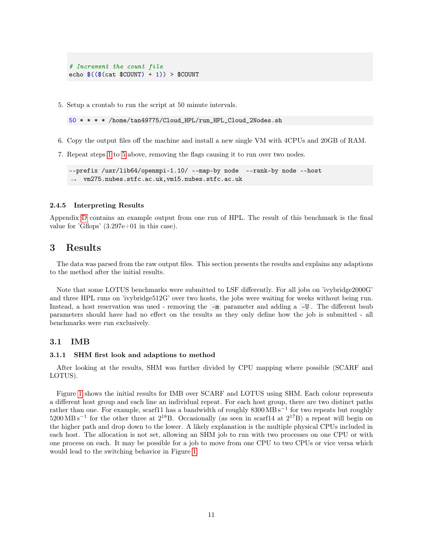```
# Increment the count file
echo $($(\$ (cat $COUNT) + 1)) > $COUNT
```
<span id="page-12-5"></span>5. Setup a crontab to run the script at 50 minute intervals.

50 \* \* \* \* /home/tan49775/Cloud\_HPL/run\_HPL\_Cloud\_2Nodes.sh

- 6. Copy the output files off the machine and install a new single VM with 4CPUs and 20GB of RAM.
- <span id="page-12-4"></span>7. Repeat steps [1](#page-11-2) to [5](#page-12-5) above, removing the flags causing it to run over two nodes.

```
--prefix /usr/lib64/openmpi-1.10/ --map-by node --rank-by node --host
,→ vm275.nubes.stfc.ac.uk,vm15.nubes.stfc.ac.uk
```
#### <span id="page-12-0"></span>2.4.5 Interpreting Results

Appendix [D](#page-23-0) contains an example output from one run of HPL. The result of this benchmark is the final value for 'Gflops' (3.297e+01 in this case).

## <span id="page-12-1"></span>3 Results

The data was parsed from the raw output files. This section presents the results and explains any adaptions to the method after the initial results.

Note that some LOTUS benchmarks were submitted to LSF differently. For all jobs on 'ivybridge2000G' and three HPL runs on 'ivybridge512G' over two hosts, the jobs were waiting for weeks without being run. Instead, a host reservation was used - removing the -m parameter and adding a -U . The different bsub parameters should have had no effect on the results as they only define how the job is submitted - all benchmarks were run exclusively.

#### <span id="page-12-2"></span>3.1 IMB

#### <span id="page-12-3"></span>3.1.1 SHM first look and adaptions to method

After looking at the results, SHM was further divided by CPU mapping where possible (SCARF and LOTUS).

Figure [1](#page-13-0) shows the initial results for IMB over SCARF and LOTUS using SHM. Each colour represents a different host group and each line an individual repeat. For each host group, there are two distinct paths rather than one. For example, scarf11 has a bandwidth of roughly 8300 MB s<sup>-1</sup> for two repeats but roughly  $5200 \text{ MB s}^{-1}$  for the other three at  $2^{18}B$ . Occasionally (as seen in scarf14 at  $2^{17}B$ ) a repeat will begin on the higher path and drop down to the lower. A likely explanation is the multiple physical CPUs included in each host. The allocation is not set, allowing an SHM job to run with two processes on one CPU or with one process on each. It may be possible for a job to move from one CPU to two CPUs or vice versa which would lead to the switching behavior in Figure [1.](#page-13-0)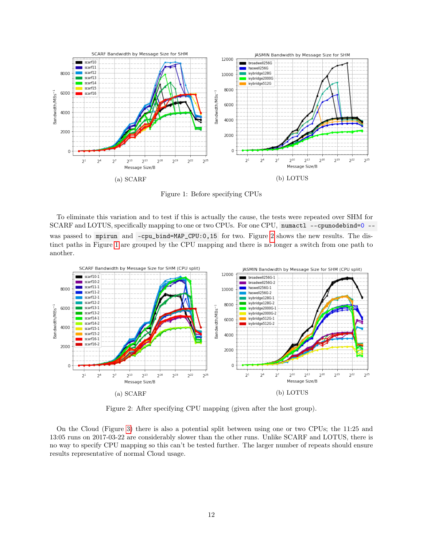<span id="page-13-0"></span>

Figure 1: Before specifying CPUs

To eliminate this variation and to test if this is actually the cause, the tests were repeated over SHM for SCARF and LOTUS, specifically mapping to one or two CPUs. For one CPU, numactl --cpunodebind=0 - was passed to mpirun and -cpu\_bind=MAP\_CPU:0,15 for two. Figure [2](#page-13-1) shows the new results. The distinct paths in Figure [1](#page-13-0) are grouped by the CPU mapping and there is no longer a switch from one path to another.

<span id="page-13-1"></span>

Figure 2: After specifying CPU mapping (given after the host group).

On the Cloud (Figure [3\)](#page-14-1) there is also a potential split between using one or two CPUs; the 11:25 and 13:05 runs on 2017-03-22 are considerably slower than the other runs. Unlike SCARF and LOTUS, there is no way to specify CPU mapping so this can't be tested further. The larger number of repeats should ensure results representative of normal Cloud usage.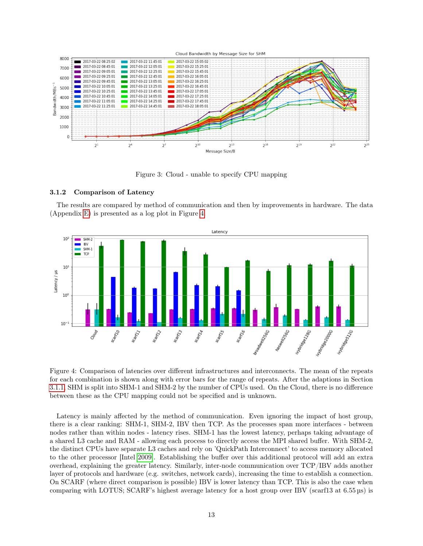

<span id="page-14-1"></span>Figure 3: Cloud - unable to specify CPU mapping

#### <span id="page-14-0"></span>3.1.2 Comparison of Latency

The results are compared by method of communication and then by improvements in hardware. The data (Appendix [E\)](#page-24-0) is presented as a log plot in Figure [4.](#page-14-2)

<span id="page-14-2"></span>

Figure 4: Comparison of latencies over different infrastructures and interconnects. The mean of the repeats for each combination is shown along with error bars for the range of repeats. After the adaptions in Section [3.1.1,](#page-12-3) SHM is split into SHM-1 and SHM-2 by the number of CPUs used. On the Cloud, there is no difference between these as the CPU mapping could not be specified and is unknown.

Latency is mainly affected by the method of communication. Even ignoring the impact of host group, there is a clear ranking: SHM-1, SHM-2, IBV then TCP. As the processes span more interfaces - between nodes rather than within nodes - latency rises. SHM-1 has the lowest latency, perhaps taking advantage of a shared L3 cache and RAM - allowing each process to directly access the MPI shared buffer. With SHM-2, the distinct CPUs have separate L3 caches and rely on 'QuickPath Interconnect' to access memory allocated to the other processor [Intel [2009\]](#page-19-2). Establishing the buffer over this additional protocol will add an extra overhead, explaining the greater latency. Similarly, inter-node communication over TCP/IBV adds another layer of protocols and hardware (e.g. switches, network cards), increasing the time to establish a connection. On SCARF (where direct comparison is possible) IBV is lower latency than TCP. This is also the case when comparing with LOTUS; SCARF's highest average latency for a host group over IBV (scarf13 at 6.55 µs) is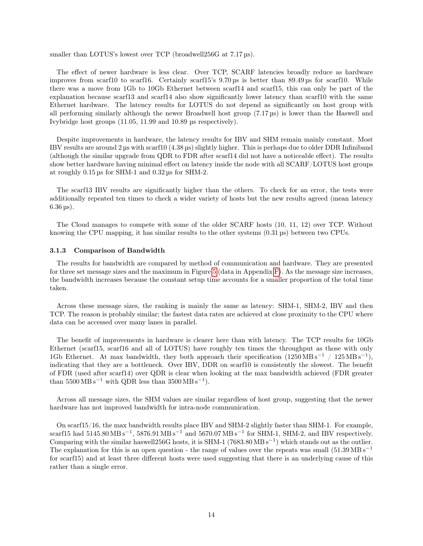smaller than LOTUS's lowest over TCP (broadwell256G at 7.17 us).

The effect of newer hardware is less clear. Over TCP, SCARF latencies broadly reduce as hardware improves from scarf10 to scarf16. Certainly scarf15's 9.70 µs is better than 89.49 µs for scarf10. While there was a move from 1Gb to 10Gb Ethernet between scarf14 and scarf15, this can only be part of the explanation because scarf13 and scarf14 also show significantly lower latency than scarf10 with the same Ethernet hardware. The latency results for LOTUS do not depend as significantly on host group with all performing similarly although the newer Broadwell host group (7.17 µs) is lower than the Haswell and Ivybridge host groups (11.05, 11.99 and 10.89 µs respectively).

Despite improvements in hardware, the latency results for IBV and SHM remain mainly constant. Most IBV results are around 2 µs with scarf10 (4.38 µs) slightly higher. This is perhaps due to older DDR Infiniband (although the similar upgrade from QDR to FDR after scarf14 did not have a noticeable effect). The results show better hardware having minimal effect on latency inside the node with all SCARF/LOTUS host groups at roughly 0.15 µs for SHM-1 and 0.32 µs for SHM-2.

The scarf13 IBV results are significantly higher than the others. To check for an error, the tests were additionally repeated ten times to check a wider variety of hosts but the new results agreed (mean latency 6.36 µs).

The Cloud manages to compete with some of the older SCARF hosts (10, 11, 12) over TCP. Without knowing the CPU mapping, it has similar results to the other systems  $(0.31 \,\mu s)$  between two CPUs.

#### <span id="page-15-0"></span>3.1.3 Comparison of Bandwidth

The results for bandwidth are compared by method of communication and hardware. They are presented for three set message sizes and the maximum in Figure [5](#page-17-1) (data in Appendix [F\)](#page-24-1). As the message size increases, the bandwidth increases because the constant setup time accounts for a smaller proportion of the total time taken.

Across these message sizes, the ranking is mainly the same as latency: SHM-1, SHM-2, IBV and then TCP. The reason is probably similar; the fastest data rates are achieved at close proximity to the CPU where data can be accessed over many lanes in parallel.

The benefit of improvements in hardware is clearer here than with latency. The TCP results for 10Gb Ethernet (scarf15, scarf16 and all of LOTUS) have roughly ten times the throughput as those with only 1Gb Ethernet. At max bandwidth, they both approach their specification  $(1250 \text{ MB s}^{-1} / 125 \text{ MB s}^{-1})$ , indicating that they are a bottleneck. Over IBV, DDR on scarf10 is consistently the slowest. The benefit of FDR (used after scarf14) over QDR is clear when looking at the max bandwidth achieved (FDR greater than  $5500 \text{ MB s}^{-1}$  with QDR less than  $3500 \text{ MB s}^{-1}$ .

Across all message sizes, the SHM values are similar regardless of host group, suggesting that the newer hardware has not improved bandwidth for intra-node communication.

On scarf15/16, the max bandwidth results place IBV and SHM-2 slightly faster than SHM-1. For example, scarf15 had  $5145.80 \text{ MB s}^{-1}$ ,  $5876.91 \text{ MB s}^{-1}$  and  $5670.07 \text{ MB s}^{-1}$  for SHM-1, SHM-2, and IBV respectively. Comparing with the similar haswell256G hosts, it is SHM-1 (7683.80 MB s<sup>-1</sup>) which stands out as the outlier. The explanation for this is an open question - the range of values over the repeats was small  $(51.39 \text{ MB s}^{-1})$ for scarf15) and at least three different hosts were used suggesting that there is an underlying cause of this rather than a single error.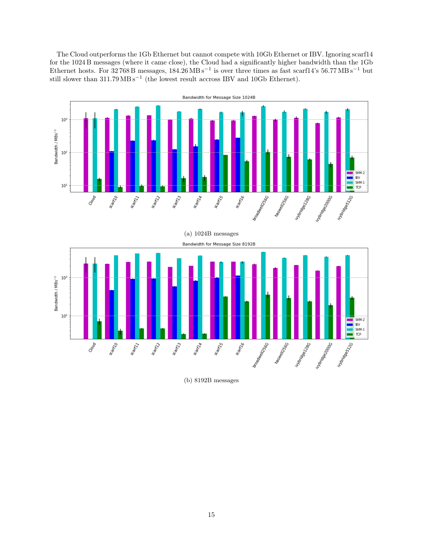The Cloud outperforms the 1Gb Ethernet but cannot compete with 10Gb Ethernet or IBV. Ignoring scarf14 for the 1024 B messages (where it came close), the Cloud had a significantly higher bandwidth than the 1Gb Ethernet hosts. For 32 768 B messages,  $184.26 \text{ MB s}^{-1}$  is over three times as fast scarf14's 56.77 MB s<sup>-1</sup> but still slower than 311.79 MB s<sup>-1</sup> (the lowest result accross IBV and 10Gb Ethernet).



(b) 8192B messages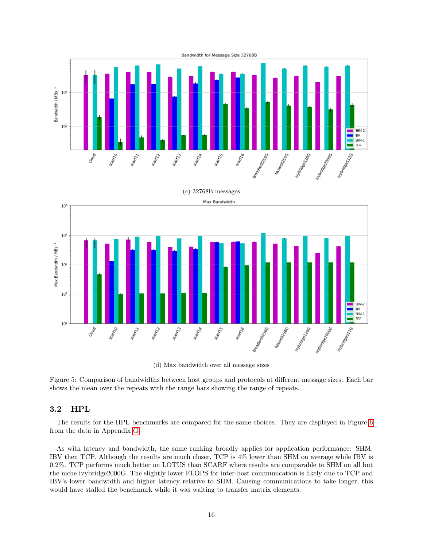<span id="page-17-1"></span>

(d) Max bandwidth over all message sizes

Figure 5: Comparison of bandwidths between host groups and protocols at different message sizes. Each bar shows the mean over the repeats with the range bars showing the range of repeats.

#### <span id="page-17-0"></span>3.2 HPL

The results for the HPL benchmarks are compared for the same choices. They are displayed in Figure [6](#page-18-1) from the data in Appendix [G.](#page-26-0)

As with latency and bandwidth, the same ranking broadly applies for application performance: SHM, IBV then TCP. Although the results are much closer, TCP is 4% lower than SHM on average while IBV is 0.2%. TCP performs much better on LOTUS than SCARF where results are comparable to SHM on all but the niche ivybridge2000G. The slightly lower FLOPS for inter-host communication is likely due to TCP and IBV's lower bandwidth and higher latency relative to SHM. Causing communications to take longer, this would have stalled the benchmark while it was waiting to transfer matrix elements.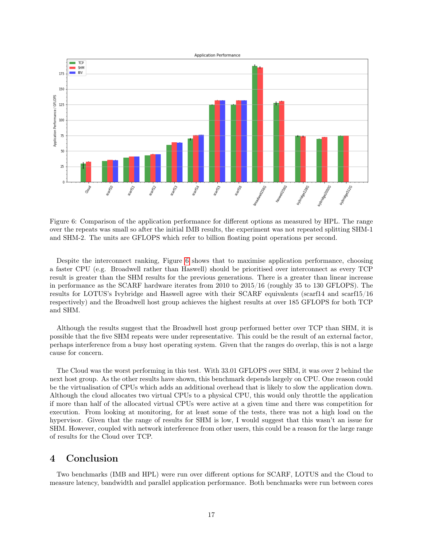<span id="page-18-1"></span>

Figure 6: Comparison of the application performance for different options as measured by HPL. The range over the repeats was small so after the initial IMB results, the experiment was not repeated splitting SHM-1 and SHM-2. The units are GFLOPS which refer to billion floating point operations per second.

Despite the interconnect ranking, Figure [6](#page-18-1) shows that to maximise application performance, choosing a faster CPU (e.g. Broadwell rather than Haswell) should be prioritised over interconnect as every TCP result is greater than the SHM results for the previous generations. There is a greater than linear increase in performance as the SCARF hardware iterates from 2010 to 2015/16 (roughly 35 to 130 GFLOPS). The results for LOTUS's Ivybridge and Haswell agree with their SCARF equivalents (scarf14 and scarf15/16 respectively) and the Broadwell host group achieves the highest results at over 185 GFLOPS for both TCP and SHM.

Although the results suggest that the Broadwell host group performed better over TCP than SHM, it is possible that the five SHM repeats were under representative. This could be the result of an external factor, perhaps interference from a busy host operating system. Given that the ranges do overlap, this is not a large cause for concern.

The Cloud was the worst performing in this test. With 33.01 GFLOPS over SHM, it was over 2 behind the next host group. As the other results have shown, this benchmark depends largely on CPU. One reason could be the virtualisation of CPUs which adds an additional overhead that is likely to slow the application down. Although the cloud allocates two virtual CPUs to a physical CPU, this would only throttle the application if more than half of the allocated virtual CPUs were active at a given time and there was competition for execution. From looking at monitoring, for at least some of the tests, there was not a high load on the hypervisor. Given that the range of results for SHM is low, I would suggest that this wasn't an issue for SHM. However, coupled with network interference from other users, this could be a reason for the large range of results for the Cloud over TCP.

## <span id="page-18-0"></span>4 Conclusion

Two benchmarks (IMB and HPL) were run over different options for SCARF, LOTUS and the Cloud to measure latency, bandwidth and parallel application performance. Both benchmarks were run between cores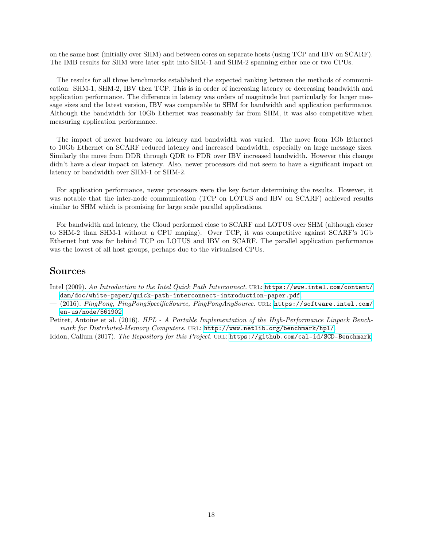on the same host (initially over SHM) and between cores on separate hosts (using TCP and IBV on SCARF). The IMB results for SHM were later split into SHM-1 and SHM-2 spanning either one or two CPUs.

The results for all three benchmarks established the expected ranking between the methods of communication: SHM-1, SHM-2, IBV then TCP. This is in order of increasing latency or decreasing bandwidth and application performance. The difference in latency was orders of magnitude but particularly for larger message sizes and the latest version, IBV was comparable to SHM for bandwidth and application performance. Although the bandwidth for 10Gb Ethernet was reasonably far from SHM, it was also competitive when measuring application performance.

The impact of newer hardware on latency and bandwidth was varied. The move from 1Gb Ethernet to 10Gb Ethernet on SCARF reduced latency and increased bandwidth, especially on large message sizes. Similarly the move from DDR through QDR to FDR over IBV increased bandwidth. However this change didn't have a clear impact on latency. Also, newer processors did not seem to have a significant impact on latency or bandwidth over SHM-1 or SHM-2.

For application performance, newer processors were the key factor determining the results. However, it was notable that the inter-node communication (TCP on LOTUS and IBV on SCARF) achieved results similar to SHM which is promising for large scale parallel applications.

For bandwidth and latency, the Cloud performed close to SCARF and LOTUS over SHM (although closer to SHM-2 than SHM-1 without a CPU maping). Over TCP, it was competitive against SCARF's 1Gb Ethernet but was far behind TCP on LOTUS and IBV on SCARF. The parallel application performance was the lowest of all host groups, perhaps due to the virtualised CPUs.

## Sources

<span id="page-19-2"></span>Intel (2009). An Introduction to the Intel Quick Path Interconnect. url: [https://www.intel.com/content/](https://www.intel.com/content/dam/doc/white-paper/quick-path-interconnect-introduction-paper.pdf) [dam/doc/white-paper/quick-path-interconnect-introduction-paper.pdf](https://www.intel.com/content/dam/doc/white-paper/quick-path-interconnect-introduction-paper.pdf).

- <span id="page-19-0"></span>— (2016). PingPong, PingPongSpecificSource, PingPongAnySource. url: [https://software.intel.com/](https://software.intel.com/en-us/node/561902) [en-us/node/561902](https://software.intel.com/en-us/node/561902).
- <span id="page-19-1"></span>Petitet, Antoine et al. (2016). HPL - A Portable Implementation of the High-Performance Linpack Benchmark for Distributed-Memory Computers. URL: <http://www.netlib.org/benchmark/hpl/>.

Iddon, Callum (2017). The Repository for this Project. URL: <https://github.com/cal-id/SCD-Benchmark>.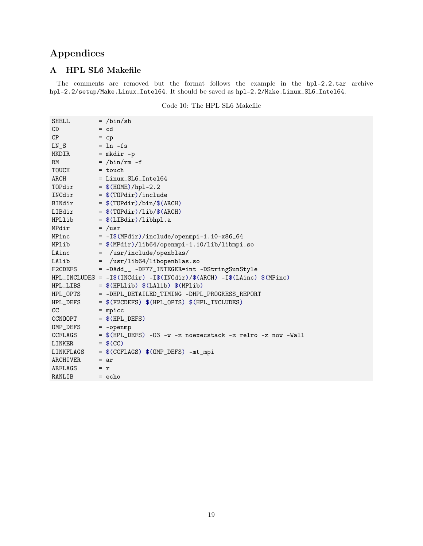# <span id="page-20-0"></span>Appendices

## <span id="page-20-1"></span>A HPL SL6 Makefile

The comments are removed but the format follows the example in the hpl-2.2.tar archive hpl-2.2/setup/Make.Linux\_Intel64. It should be saved as hpl-2.2/Make.Linux\_SL6\_Intel64.

Code 10: The HPL SL6 Makefile

| SHELL                   | $=$ /bin/sh                                                          |
|-------------------------|----------------------------------------------------------------------|
| CD                      | $= cd$                                                               |
| CP                      | $=$ cp                                                               |
| $LN_S$ = $ln -fs$       |                                                                      |
| MKDIR = $mkdir -p$      |                                                                      |
| RM                      | $=$ /bin/rm $-f$                                                     |
| $TOUCH$ = touch         |                                                                      |
| ARCH                    | $=$ Linux_SL6_Intel64                                                |
|                         | TOPdir = $$(HOME)/hpl-2.2$                                           |
|                         | $INCdir = $(TOPdir)/include$                                         |
|                         | BINdir = $$(TOPdir)/bin/$(ARCH)$                                     |
|                         | LIBdir = $$(TOPdir)/lib/\$(ARCH)$                                    |
|                         | $HPLlib = $(LIBdir)/libhpl.a]$                                       |
| MPdir = $/usr$          |                                                                      |
|                         | MPinc = $-I$ \$(MPdir)/include/openmpi-1.10-x86_64                   |
|                         | $MPlib = $(MPdir)/lib64/openmpi-1.10/lib/libmpi.so$                  |
|                         | LAinc $=$ /usr/include/openblas/                                     |
| LAlib                   | $=$ $/$ usr $/$ lib $64/$ libopenblas.so                             |
|                         | F2CDEFS = -DAdd__ -DF77_INTEGER=int -DStringSunStyle                 |
|                         | $HPL_INCLUDES = -I$(INCdir) -I$(INCdir)/$(ARCH) -I$(LAinc) $(MPinc)$ |
|                         | $HPL_LIBS$ = $$(HPLlib) $(LAlib) $(MPlib)$                           |
|                         | HPL_OPTS = -DHPL_DETAILED_TIMING -DHPL_PROGRESS_REPORT               |
| HPL_DEFS                | $=$ \$(F2CDEFS) \$(HPL_OPTS) \$(HPL_INCLUDES)                        |
| CC                      | $=$ mpicc                                                            |
| CCNOOPT $= $(HPL_DEFS)$ |                                                                      |
| $OMP_DEFS$ = -openmp    |                                                                      |
|                         | CCFLAGS = $$(HPL_DEFS) -03 -w -z$ noexecstack -z relro -z now -Wall  |
| LINKER                  | $=$ \$(CC)                                                           |
|                         | $LINKFLAGS = $(CCFLAGS) $(OMP_DEFS) -mt_mpi$                         |
| ARCHIVER                | $= ar$                                                               |
| $ARFLAGS = r$           |                                                                      |
| RANLIB                  | $=$ echo                                                             |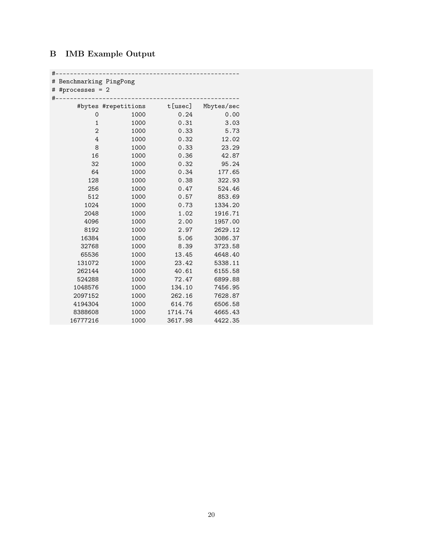## <span id="page-21-0"></span>B IMB Example Output

## #---------------------------------------------------

# Benchmarking PingPong

| # #processes = 2<br>$#$ . |                     |         |            |  |  |  |  |
|---------------------------|---------------------|---------|------------|--|--|--|--|
|                           | #bytes #repetitions | t[usec] | Mbytes/sec |  |  |  |  |
| 0                         | 1000                | 0.24    | 0.00       |  |  |  |  |
| $\mathbf{1}$              | 1000                | 0.31    | 3.03       |  |  |  |  |
| $\overline{2}$            | 1000                | 0.33    | 5.73       |  |  |  |  |
| 4                         | 1000                | 0.32    | 12.02      |  |  |  |  |
| 8                         | 1000                | 0.33    | 23.29      |  |  |  |  |
| 16                        | 1000                | 0.36    | 42.87      |  |  |  |  |
| 32                        | 1000                | 0.32    | 95.24      |  |  |  |  |
| 64                        | 1000                | 0.34    | 177.65     |  |  |  |  |
| 128                       | 1000                | 0.38    | 322.93     |  |  |  |  |
| 256                       | 1000                | 0.47    | 524.46     |  |  |  |  |
| 512                       | 1000                | 0.57    | 853.69     |  |  |  |  |
| 1024                      | 1000                | 0.73    | 1334.20    |  |  |  |  |
| 2048                      | 1000                | 1.02    | 1916.71    |  |  |  |  |
| 4096                      | 1000                | 2.00    | 1957.00    |  |  |  |  |
| 8192                      | 1000                | 2.97    | 2629.12    |  |  |  |  |
| 16384                     | 1000                | 5.06    | 3086.37    |  |  |  |  |
| 32768                     | 1000                | 8.39    | 3723.58    |  |  |  |  |
| 65536                     | 1000                | 13.45   | 4648.40    |  |  |  |  |
| 131072                    | 1000                | 23.42   | 5338.11    |  |  |  |  |
| 262144                    | 1000                | 40.61   | 6155.58    |  |  |  |  |
| 524288                    | 1000                | 72.47   | 6899.88    |  |  |  |  |
| 1048576                   | 1000                | 134.10  | 7456.95    |  |  |  |  |
| 2097152                   | 1000                | 262.16  | 7628.87    |  |  |  |  |
| 4194304                   | 1000                | 614.76  | 6506.58    |  |  |  |  |
| 8388608                   | 1000                | 1714.74 | 4665.43    |  |  |  |  |
| 16777216                  | 1000                | 3617.98 | 4422.35    |  |  |  |  |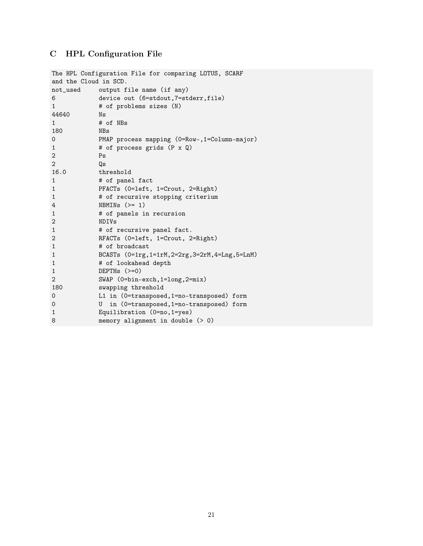# <span id="page-22-0"></span>C HPL Configuration File

| The HPL Configuration File for comparing LOTUS, SCARF |                                                   |  |  |  |  |
|-------------------------------------------------------|---------------------------------------------------|--|--|--|--|
| and the Cloud in SCD.                                 |                                                   |  |  |  |  |
|                                                       | not_used output file name (if any)                |  |  |  |  |
| 6                                                     | device out (6=stdout, 7=stderr, file)             |  |  |  |  |
| $\mathbf{1}$                                          | # of problems sizes (N)                           |  |  |  |  |
| 44640                                                 | Ns                                                |  |  |  |  |
| $\mathbf{1}$                                          | # of NBs                                          |  |  |  |  |
| 180                                                   | <b>NBs</b>                                        |  |  |  |  |
| 0                                                     | PMAP process mapping (0=Row-,1=Column-major)      |  |  |  |  |
| $\mathbf{1}$                                          | # of process grids (P x Q)                        |  |  |  |  |
| 2                                                     | Ps                                                |  |  |  |  |
| $\overline{2}$                                        | Qs                                                |  |  |  |  |
| 16.0                                                  | threshold                                         |  |  |  |  |
| $\mathbf{1}$                                          | # of panel fact                                   |  |  |  |  |
| $\mathbf{1}$                                          | PFACTs (0=left, 1=Crout, 2=Right)                 |  |  |  |  |
| $\mathbf{1}$                                          | # of recursive stopping criterium                 |  |  |  |  |
| 4                                                     | NBMINs $(>= 1)$                                   |  |  |  |  |
| $\mathbf{1}$                                          | # of panels in recursion                          |  |  |  |  |
| 2                                                     | <b>NDIVs</b>                                      |  |  |  |  |
| $\mathbf{1}$                                          | # of recursive panel fact.                        |  |  |  |  |
| 2                                                     | RFACTs (0=left, 1=Crout, 2=Right)                 |  |  |  |  |
| $\mathbf{1}$                                          | # of broadcast                                    |  |  |  |  |
| $\mathbf{1}$                                          | BCASTs (0=1rg, 1=1rM, 2=2rg, 3=2rM, 4=Lng, 5=LnM) |  |  |  |  |
| $\mathbf 1$                                           | # of lookahead depth                              |  |  |  |  |
| $\mathbf{1}$                                          | DEPTHs $(>=0)$                                    |  |  |  |  |
| 2                                                     | SWAP (0=bin-exch, 1=long, 2=mix)                  |  |  |  |  |
| 180                                                   | swapping threshold                                |  |  |  |  |
| 0                                                     | L1 in (0=transposed, 1=no-transposed) form        |  |  |  |  |
| $\mathbf 0$                                           | in (0=transposed, 1=no-transposed) form<br>U      |  |  |  |  |
| $\mathbf{1}$                                          | Equilibration (0=no, 1=yes)                       |  |  |  |  |
| 8                                                     | memory alignment in double (> 0)                  |  |  |  |  |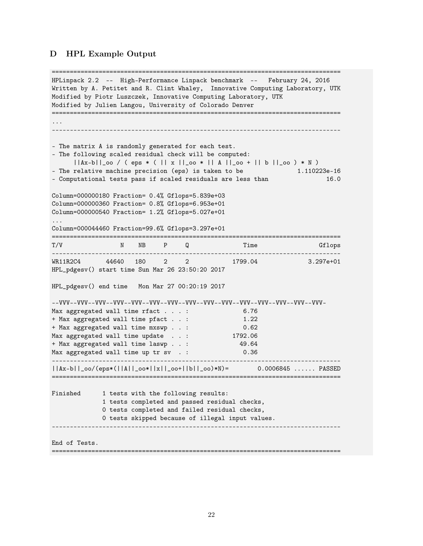#### <span id="page-23-0"></span>D HPL Example Output

================================================================================ HPLinpack 2.2 -- High-Performance Linpack benchmark -- February 24, 2016 Written by A. Petitet and R. Clint Whaley, Innovative Computing Laboratory, UTK Modified by Piotr Luszczek, Innovative Computing Laboratory, UTK Modified by Julien Langou, University of Colorado Denver ================================================================================ ... -------------------------------------------------------------------------------- - The matrix A is randomly generated for each test. - The following scaled residual check will be computed: ||Ax-b||\_oo / ( eps \* ( || x ||\_oo \* || A ||\_oo + || b ||\_oo ) \* N ) - The relative machine precision (eps) is taken to be  $1.110223e-16$ - Computational tests pass if scaled residuals are less than 16.0 Column=000000180 Fraction= 0.4% Gflops=5.839e+03 Column=000000360 Fraction= 0.8% Gflops=6.953e+01 Column=000000540 Fraction= 1.2% Gflops=5.027e+01 ... Column=000044460 Fraction=99.6% Gflops=3.297e+01 ================================================================================ T/V N NB P Q Time Gflops -------------------------------------------------------------------------------- 44640 180 2 2 1799.04 3.297e+01 HPL\_pdgesv() start time Sun Mar 26 23:50:20 2017 HPL\_pdgesv() end time Mon Mar 27 00:20:19 2017 --VVV--VVV--VVV--VVV--VVV--VVV--VVV--VVV--VVV--VVV--VVV--VVV--VVV--VVV--VVV-Max aggregated wall time rfact . . . : 6.76 + Max aggregated wall time pfact . . : 1.22 + Max aggregated wall time mxswp . . : 0.62 Max aggregated wall time update . . : 1792.06 + Max aggregated wall time laswp . . : 49.64 Max aggregated wall time up tr sv . : 0.36 -------------------------------------------------------------------------------- ||Ax-b||\_oo/(eps\*(||A||\_oo\*||x||\_oo+||b||\_oo)\*N)= 0.0006845 ...... PASSED ================================================================================ Finished 1 tests with the following results: 1 tests completed and passed residual checks, 0 tests completed and failed residual checks, 0 tests skipped because of illegal input values. -------------------------------------------------------------------------------- End of Tests.

================================================================================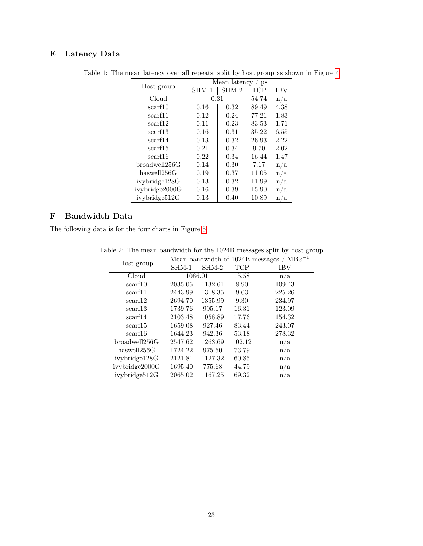## <span id="page-24-0"></span>E Latency Data

| Host group     | Mean latency<br>us |       |       |      |  |  |
|----------------|--------------------|-------|-------|------|--|--|
|                | SHM-1              | SHM-2 | TCP   | IBV  |  |  |
| Cloud          | 0.31               |       | 54.74 | n/a  |  |  |
| scarf10        | 0.16               | 0.32  | 89.49 | 4.38 |  |  |
| scarf11        | 0.12               | 0.24  | 77.21 | 1.83 |  |  |
| scarf12        | 0.11               | 0.23  | 83.53 | 1.71 |  |  |
| scarf13        | 0.16               | 0.31  | 35.22 | 6.55 |  |  |
| scarf14        | 0.13               | 0.32  | 26.93 | 2.22 |  |  |
| scarf15        | 0.21               | 0.34  | 9.70  | 2.02 |  |  |
| scarf16        | 0.22               | 0.34  | 16.44 | 1.47 |  |  |
| broadwell256G  | 0.14               | 0.30  | 7.17  | n/a  |  |  |
| haswell256G    | 0.19               | 0.37  | 11.05 | n/a  |  |  |
| ivybridge128G  | 0.13               | 0.32  | 11.99 | n/a  |  |  |
| ivybridge2000G | 0.16               | 0.39  | 15.90 | n/a  |  |  |
| ivybridge512G  | 0.13               | 0.40  | 10.89 | n/a  |  |  |

Table 1: The mean latency over all repeats, split by host group as shown in Figure [4](#page-14-2)

## <span id="page-24-1"></span>F Bandwidth Data

The following data is for the four charts in Figure [5.](#page-17-1)

| Host group          | Mean bandwidth of 1024B messages<br>$MBs^{-1}$ |         |            |            |  |
|---------------------|------------------------------------------------|---------|------------|------------|--|
|                     | $SHM-1$                                        | SHM-2   | <b>TCP</b> | <b>IBV</b> |  |
| Cloud               | 1086.01                                        |         | 15.58      | n/a        |  |
| scarf10             | 2035.05                                        | 1132.61 | 8.90       | 109.43     |  |
| scarf11             | 2443.99                                        | 1318.35 | 9.63       | 225.26     |  |
| scarf12             | 2694.70                                        | 1355.99 | 9.30       | 234.97     |  |
| scarf <sub>13</sub> | 1739.76                                        | 995.17  | 16.31      | 123.09     |  |
| scarf14             | 2103.48                                        | 1058.89 | 17.76      | 154.32     |  |
| scarf <sub>15</sub> | 1659.08                                        | 927.46  | 83.44      | 243.07     |  |
| scarf16             | 1644.23                                        | 942.36  | 53.18      | 278.32     |  |
| broadwell256G       | 2547.62                                        | 1263.69 | 102.12     | n/a        |  |
| has well 256G       | 1724.22                                        | 975.50  | 73.79      | n/a        |  |
| ivybridge128G       | 2121.81                                        | 1127.32 | 60.85      | n/a        |  |
| ivybridge2000G      | 1695.40                                        | 775.68  | 44.79      | n/a        |  |
| ivybridge512G       | 2065.02                                        | 1167.25 | 69.32      | n/a        |  |

Table 2: The mean bandwidth for the 1024B messages split by host group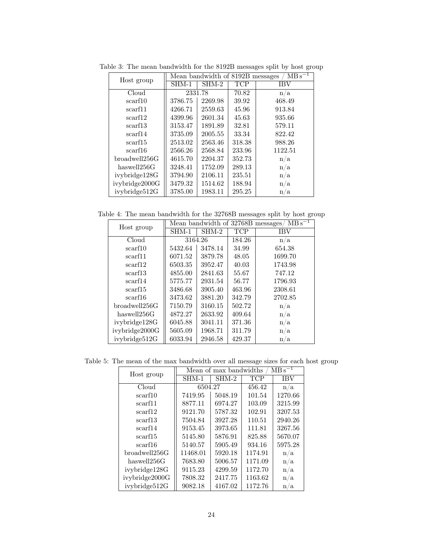| Host group          | $MBs^{-1}$<br>Mean bandwidth of 8192B messages |         |            |            |  |
|---------------------|------------------------------------------------|---------|------------|------------|--|
|                     | $SHM-1$                                        | SHM-2   | <b>TCP</b> | <b>IBV</b> |  |
| Cloud               | 2331.78                                        |         | 70.82      | n/a        |  |
| scarf10             | 3786.75                                        | 2269.98 | 39.92      | 468.49     |  |
| scarf11             | 4266.71                                        | 2559.63 | 45.96      | 913.84     |  |
| scarf12             | 4399.96                                        | 2601.34 | 45.63      | 935.66     |  |
| scarf13             | 3153.47                                        | 1891.89 | 32.81      | 579.11     |  |
| scarf14             | 3735.09                                        | 2005.55 | 33.34      | 822.42     |  |
| scarf <sub>15</sub> | 2513.02                                        | 2563.46 | 318.38     | 988.26     |  |
| scarf16             | 2566.26                                        | 2568.84 | 233.96     | 1122.51    |  |
| broadwell256G       | 4615.70                                        | 2204.37 | 352.73     | n/a        |  |
| haswell256G         | 3248.41                                        | 1752.09 | 289.13     | n/a        |  |
| ivybridge128G       | 3794.90                                        | 2106.11 | 235.51     | n/a        |  |
| ivybridge2000G      | 3479.32                                        | 1514.62 | 188.94     | n/a        |  |
| ivybridge512G       | 3785.00                                        | 1983.11 | 295.25     | n/a        |  |

Table 3: The mean bandwidth for the 8192B messages split by host group

Table 4: The mean bandwidth for the 32768B messages split by host group

| Host group     | Mean bandwidth of 32768B messages/<br>$\rm \,MBS^{-1}$ |         |            |         |  |
|----------------|--------------------------------------------------------|---------|------------|---------|--|
|                | $SHM-1$                                                | $SHM-2$ | <b>TCP</b> | IBV     |  |
| Cloud          | 3164.26                                                |         | 184.26     | n/a     |  |
| scarf10        | 5432.64                                                | 3478.14 | 34.99      | 654.38  |  |
| scarf11        | 6071.52                                                | 3879.78 | 48.05      | 1699.70 |  |
| scarf12        | 6503.35                                                | 3952.47 | 40.03      | 1743.98 |  |
| scarf13        | 4855.00                                                | 2841.63 | 55.67      | 747.12  |  |
| scarf14        | 5775.77                                                | 2931.54 | 56.77      | 1796.93 |  |
| scarf15        | 3486.68                                                | 3905.40 | 463.96     | 2308.61 |  |
| scarf16        | 3473.62                                                | 3881.20 | 342.79     | 2702.85 |  |
| broadwell256G  | 7150.79                                                | 3160.15 | 502.72     | n/a     |  |
| haswell256G    | 4872.27                                                | 2633.92 | 409.64     | n/a     |  |
| ivybridge128G  | 6045.88                                                | 3041.11 | 371.36     | n/a     |  |
| ivybridge2000G | 5605.09                                                | 1968.71 | 311.79     | n/a     |  |
| ivybridge512G  | 6033.94                                                | 2946.58 | 429.37     | n/a     |  |

Table 5: The mean of the max bandwidth over all message sizes for each host group

| Host group     | $MBs^{-1}$<br>Mean of max bandwidths |         |            |         |  |
|----------------|--------------------------------------|---------|------------|---------|--|
|                | SHM-1                                | SHM-2   | <b>TCP</b> | IBV     |  |
| Cloud          | 6504.27                              |         | 456.42     | n/a     |  |
| scarf10        | 7419.95                              | 5048.19 | 101.54     | 1270.66 |  |
| scarf11        | 8877.11                              | 6974.27 | 103.09     | 3215.99 |  |
| scarf12        | 9121.70                              | 5787.32 | 102.91     | 3207.53 |  |
| scarf13        | 7504.84                              | 3927.28 | 110.51     | 2940.26 |  |
| scarf14        | 9153.45                              | 3973.65 | 111.81     | 3267.56 |  |
| scarf15        | 5145.80                              | 5876.91 | 825.88     | 5670.07 |  |
| scarf16        | 5140.57                              | 5905.49 | 934.16     | 5975.28 |  |
| broadwell256G  | 11468.01                             | 5920.18 | 1174.91    | n/a     |  |
| haswell256G    | 7683.80                              | 5006.57 | 1171.09    | n/a     |  |
| ivybridge128G  | 9115.23                              | 4299.59 | 1172.70    | n/a     |  |
| ivybridge2000G | 7808.32                              | 2417.75 | 1163.62    | n/a     |  |
| ivybridge512G  | 9082.18                              | 4167.02 | 1172.76    | n/a     |  |